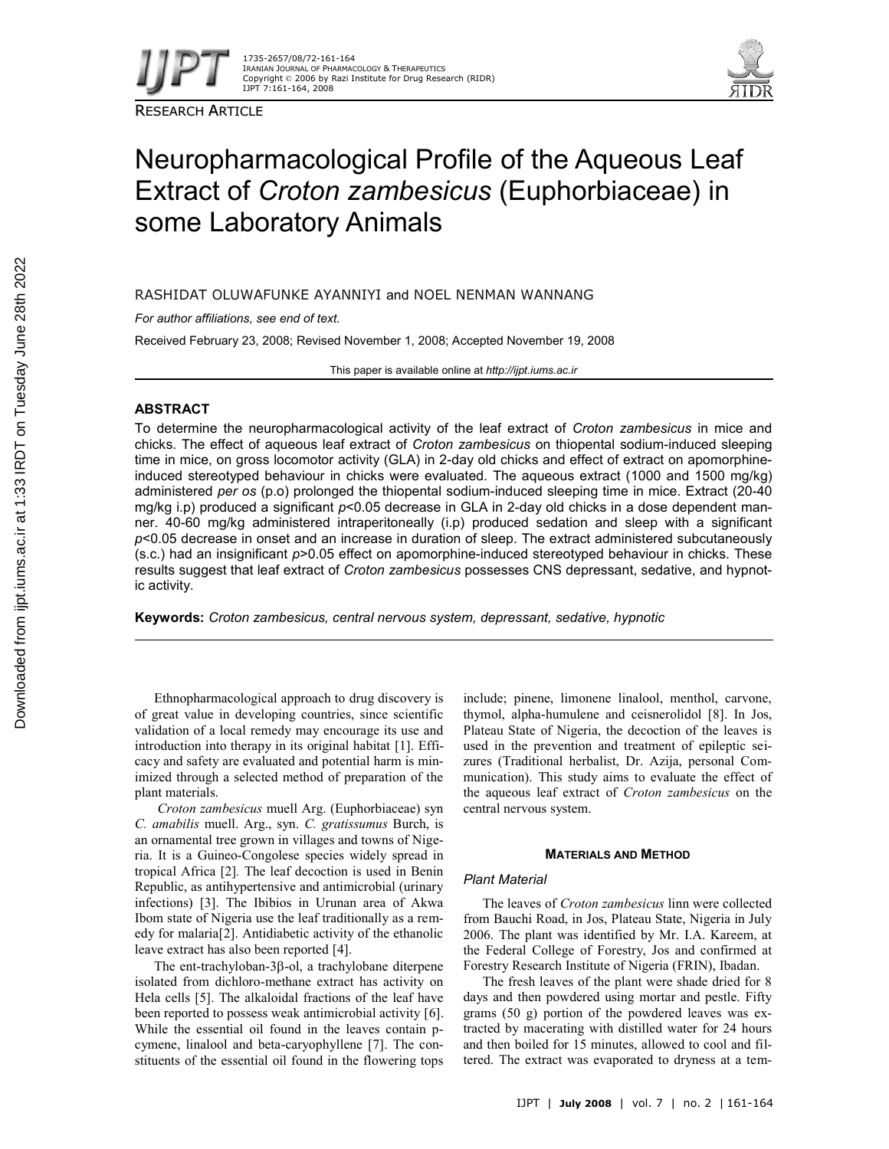

RESEARCH ARTICLE



# Neuropharmacological Profile of the Aqueous Leaf Extract of *Croton zambesicus* (Euphorbiaceae) in some Laboratory Animals

RASHIDAT OLUWAFUNKE AYANNIYI and NOEL NENMAN WANNANG

*For author affiliations, see end of text.*

Received February 23, 2008; Revised November 1, 2008; Accepted November 19, 2008

This paper is available online at *http://ijpt.iums.ac.ir*

# **ABSTRACT**

To determine the neuropharmacological activity of the leaf extract of *Croton zambesicus* in mice and chicks. The effect of aqueous leaf extract of *Croton zambesicus* on thiopental sodium-induced sleeping time in mice, on gross locomotor activity (GLA) in 2-day old chicks and effect of extract on apomorphineinduced stereotyped behaviour in chicks were evaluated. The aqueous extract (1000 and 1500 mg/kg) administered *per os* (p.o) prolonged the thiopental sodium-induced sleeping time in mice. Extract (20-40 mg/kg i.p) produced a significant  $p$ <0.05 decrease in GLA in 2-day old chicks in a dose dependent manner. 40-60 mg/kg administered intraperitoneally (i.p) produced sedation and sleep with a significant *p*<0.05 decrease in onset and an increase in duration of sleep. The extract administered subcutaneously (s.c.) had an insignificant *p*>0.05 effect on apomorphine-induced stereotyped behaviour in chicks. These results suggest that leaf extract of *Croton zambesicus* possesses CNS depressant, sedative, and hypnotic activity.

**Keywords:** *Croton zambesicus, central nervous system, depressant, sedative, hypnotic*

Ethnopharmacological approach to drug discovery is of great value in developing countries, since scientific validation of a local remedy may encourage its use and introduction into therapy in its original habitat [1]. Efficacy and safety are evaluated and potential harm is minimized through a selected method of preparation of the plant materials.

*Croton zambesicus* muell Arg. (Euphorbiaceae) syn *C. amabilis* muell. Arg., syn. *C. gratissumus* Burch, is an ornamental tree grown in villages and towns of Nigeria. It is a Guineo-Congolese species widely spread in tropical Africa [2]*.* The leaf decoction is used in Benin Republic, as antihypertensive and antimicrobial (urinary infections) [3]. The Ibibios in Urunan area of Akwa Ibom state of Nigeria use the leaf traditionally as a remedy for malaria[2]. Antidiabetic activity of the ethanolic leave extract has also been reported [4].

The ent-trachyloban-3 $\beta$ -ol, a trachylobane diterpene isolated from dichloro-methane extract has activity on Hela cells [5]. The alkaloidal fractions of the leaf have been reported to possess weak antimicrobial activity [6]. While the essential oil found in the leaves contain pcymene, linalool and beta-caryophyllene [7]. The constituents of the essential oil found in the flowering tops include; pinene, limonene linalool, menthol, carvone, thymol, alpha-humulene and ceisnerolidol [8]. In Jos, Plateau State of Nigeria, the decoction of the leaves is used in the prevention and treatment of epileptic seizures (Traditional herbalist, Dr. Azija, personal Communication). This study aims to evaluate the effect of the aqueous leaf extract of *Croton zambesicus* on the central nervous system.

#### **MATERIALS AND METHOD**

#### *Plant Material*

The leaves of *Croton zambesicus* linn were collected from Bauchi Road, in Jos, Plateau State, Nigeria in July 2006. The plant was identified by Mr. I.A. Kareem, at the Federal College of Forestry, Jos and confirmed at Forestry Research Institute of Nigeria (FRIN), Ibadan.

The fresh leaves of the plant were shade dried for 8 days and then powdered using mortar and pestle. Fifty grams (50 g) portion of the powdered leaves was extracted by macerating with distilled water for 24 hours and then boiled for 15 minutes, allowed to cool and filtered. The extract was evaporated to dryness at a tem-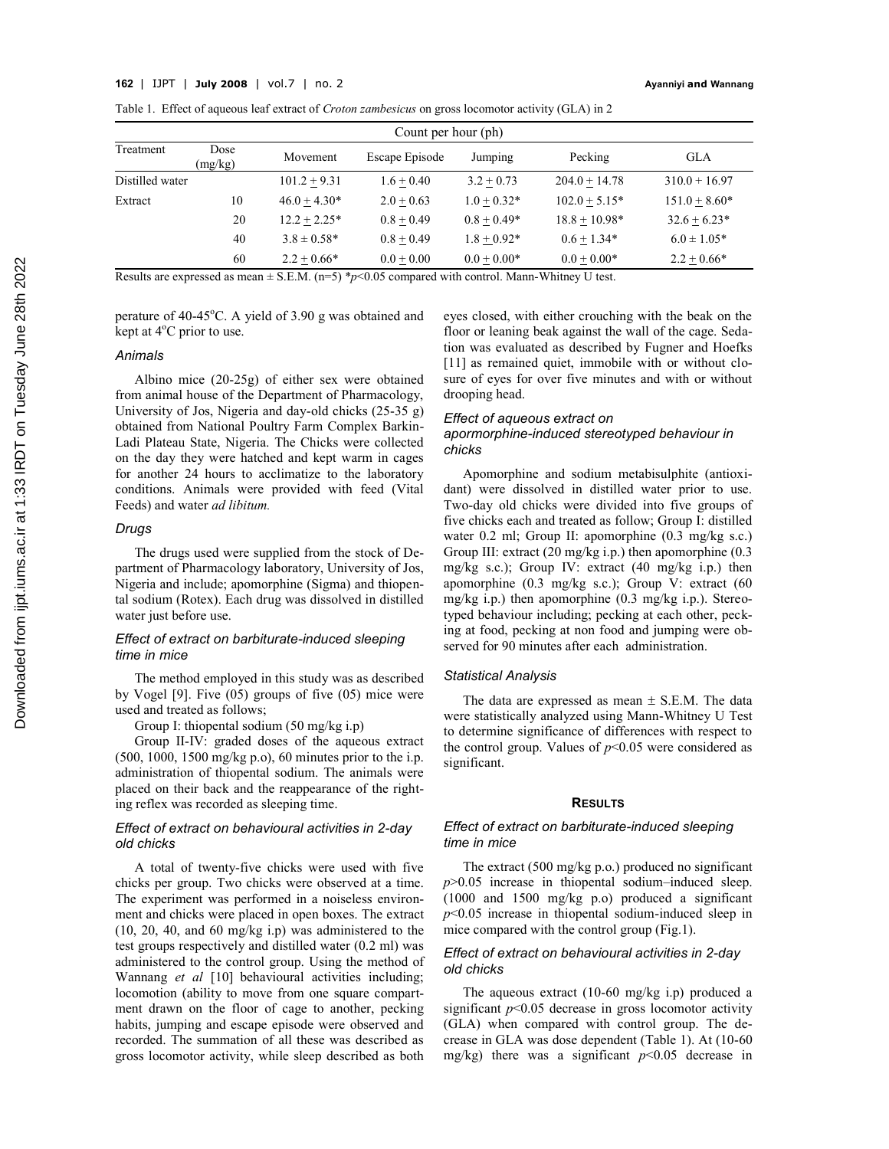#### **162** | IJPT | **July 2008** | vol.7 | no. 2 **Ayanniyi and Wannang**

| Count per hour (ph) |                 |                 |                                                                                                                                                                                 |               |                 |                 |  |
|---------------------|-----------------|-----------------|---------------------------------------------------------------------------------------------------------------------------------------------------------------------------------|---------------|-----------------|-----------------|--|
| Treatment           | Dose<br>(mg/kg) | Movement        | Escape Episode                                                                                                                                                                  | Jumping       | Pecking         | GLA             |  |
| Distilled water     |                 | $101.2 + 9.31$  | $1.6 + 0.40$                                                                                                                                                                    | $3.2 + 0.73$  | $204.0 + 14.78$ | $310.0 + 16.97$ |  |
| Extract             | 10              | $46.0 + 4.30*$  | $2.0 + 0.63$                                                                                                                                                                    | $1.0 + 0.32*$ | $102.0 + 5.15*$ | $151.0 + 8.60*$ |  |
|                     | 20              | $12.2 + 2.25*$  | $0.8 + 0.49$                                                                                                                                                                    | $0.8 + 0.49*$ | $18.8 + 10.98*$ | $32.6 + 6.23*$  |  |
|                     | 40              | $3.8 \pm 0.58*$ | $0.8 + 0.49$                                                                                                                                                                    | $1.8 + 0.92*$ | $0.6 + 1.34*$   | $6.0 \pm 1.05*$ |  |
|                     | 60              | $2.2 + 0.66*$   | $0.0 + 0.00$<br>December 2012, according to the contract $\mathbb{C} \to M$ (a=5) $\frac{k}{2}$ and $\frac{1}{2}$ according to the contract $\frac{1}{2}$ Mean White and H took | $0.0 + 0.00*$ | $0.0 + 0.00*$   | $2.2 + 0.66*$   |  |

Results are expressed as mean  $\pm$  S.E.M. (n=5)  $\gamma$  /  $\approx$  0.05 compared with control. Mann-Whitney U test.

perature of  $40-45^{\circ}$ C. A yield of 3.90 g was obtained and kept at  $4^{\circ}$ C prior to use.

#### *Animals*

Albino mice (20-25g) of either sex were obtained from animal house of the Department of Pharmacology, University of Jos, Nigeria and day-old chicks (25-35 g) obtained from National Poultry Farm Complex Barkin-Ladi Plateau State, Nigeria. The Chicks were collected on the day they were hatched and kept warm in cages for another 24 hours to acclimatize to the laboratory conditions. Animals were provided with feed (Vital Feeds) and water *ad libitum.*

#### *Drugs*

The drugs used were supplied from the stock of Department of Pharmacology laboratory, University of Jos, Nigeria and include; apomorphine (Sigma) and thiopental sodium (Rotex). Each drug was dissolved in distilled water just before use.

## *Effect of extract on barbiturate-induced sleeping time in mice*

The method employed in this study was as described by Vogel [9]. Five (05) groups of five (05) mice were used and treated as follows;

Group I: thiopental sodium (50 mg/kg i.p)

Group II-IV: graded doses of the aqueous extract (500, 1000, 1500 mg/kg p.o), 60 minutes prior to the i.p. administration of thiopental sodium. The animals were placed on their back and the reappearance of the righting reflex was recorded as sleeping time.

## *Effect of extract on behavioural activities in 2-day old chicks*

A total of twenty-five chicks were used with five chicks per group. Two chicks were observed at a time. The experiment was performed in a noiseless environment and chicks were placed in open boxes. The extract (10, 20, 40, and 60 mg/kg i.p) was administered to the test groups respectively and distilled water (0.2 ml) was administered to the control group. Using the method of Wannang *et al* [10] behavioural activities including; locomotion (ability to move from one square compartment drawn on the floor of cage to another, pecking habits, jumping and escape episode were observed and recorded. The summation of all these was described as gross locomotor activity, while sleep described as both

eyes closed, with either crouching with the beak on the floor or leaning beak against the wall of the cage. Sedation was evaluated as described by Fugner and Hoefks [11] as remained quiet, immobile with or without closure of eyes for over five minutes and with or without drooping head.

#### *Effect of aqueous extract on*

## apormorphine-induced stereotyped behaviour in *chicks*

Apomorphine and sodium metabisulphite (antioxidant) were dissolved in distilled water prior to use. Two-day old chicks were divided into five groups of five chicks each and treated as follow; Group I: distilled water 0.2 ml; Group II: apomorphine (0.3 mg/kg s.c.) Group III: extract (20 mg/kg i.p.) then apomorphine (0.3 mg/kg s.c.); Group IV: extract (40 mg/kg i.p.) then apomorphine (0.3 mg/kg s.c.); Group V: extract (60 mg/kg i.p.) then apomorphine (0.3 mg/kg i.p.). Stereotyped behaviour including; pecking at each other, pecking at food, pecking at non food and jumping were observed for 90 minutes after each administration.

## *Statistical Analysis*

The data are expressed as mean  $\pm$  S.E.M. The data were statistically analyzed using Mann-Whitney U Test to determine significance of differences with respect to the control group. Values of  $p<0.05$  were considered as significant.

#### **RESULTS**

## *Effect of extract on barbiturate-induced sleeping time in mice*

The extract (500 mg/kg p.o.) produced no significant *p*>0.05 increase in thiopental sodium–induced sleep. (1000 and 1500 mg/kg p.o) produced a significant *p*<0.05 increase in thiopental sodium-induced sleep in mice compared with the control group (Fig.1).

## *Effect of extract on behavioural activities in 2-day old chicks*

The aqueous extract (10-60 mg/kg i.p) produced a significant *p*<0.05 decrease in gross locomotor activity (GLA) when compared with control group. The decrease in GLA was dose dependent (Table 1). At (10-60 mg/kg) there was a significant  $p<0.05$  decrease in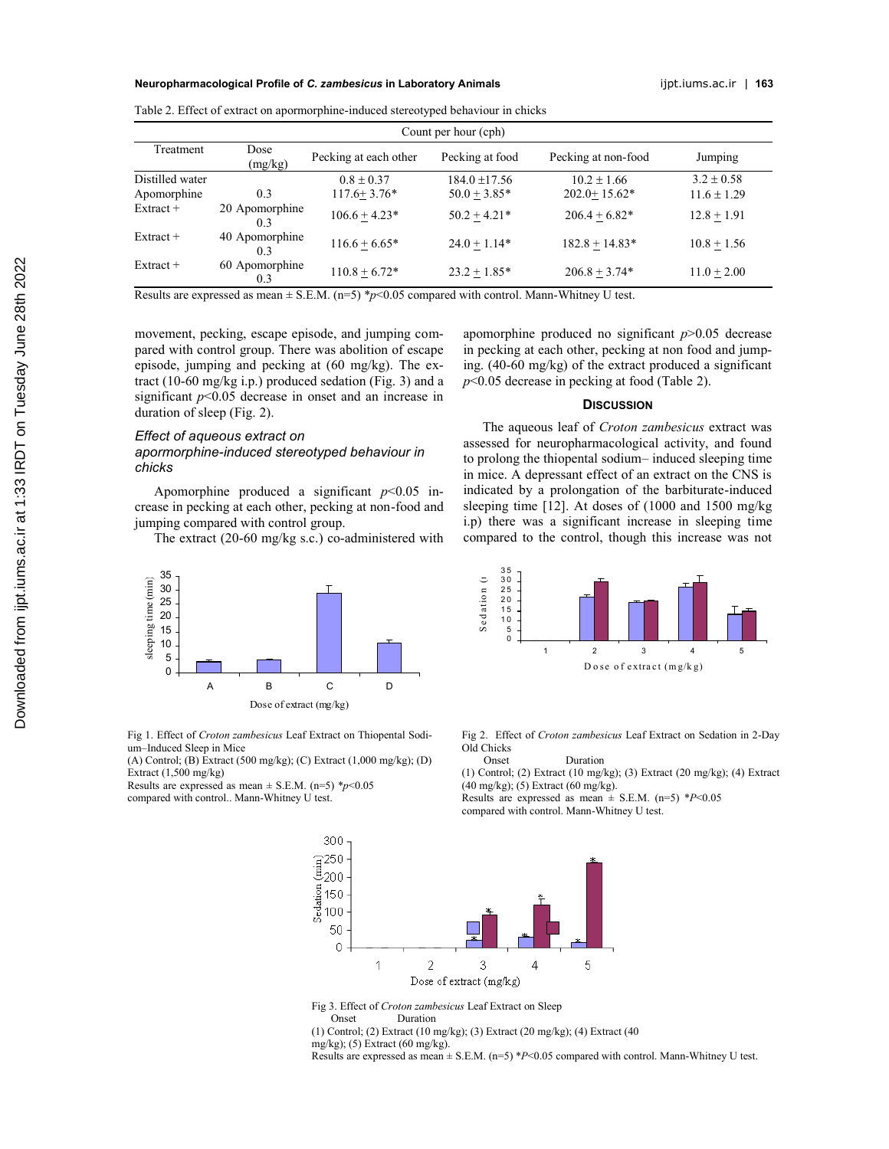#### **Neuropharmacological Profile of** *C. zambesicus* **in Laboratory Animals** ijpt.iums.ac.ir | **163**

| Count per hour (cph) |                       |                       |                   |                     |                 |  |  |  |  |
|----------------------|-----------------------|-----------------------|-------------------|---------------------|-----------------|--|--|--|--|
| Treatment            | Dose<br>(mg/kg)       | Pecking at each other | Pecking at food   | Pecking at non-food | Jumping         |  |  |  |  |
| Distilled water      |                       | $0.8 \pm 0.37$        | $184.0 \pm 17.56$ | $10.2 \pm 1.66$     | $3.2 \pm 0.58$  |  |  |  |  |
| Apomorphine          | 0.3                   | $117.6 + 3.76*$       | $50.0 + 3.85*$    | $202.0 + 15.62*$    | $11.6 \pm 1.29$ |  |  |  |  |
| $Extract+$           | 20 Apomorphine<br>0.3 | $106.6 + 4.23*$       | $50.2 + 4.21*$    | $206.4 + 6.82*$     | $12.8 + 1.91$   |  |  |  |  |
| $Extract+$           | 40 Apomorphine<br>03  | $116.6 + 6.65*$       | $24.0 + 1.14*$    | $182.8 + 14.83*$    | $10.8 + 1.56$   |  |  |  |  |
| $Extract +$          | 60 Apomorphine<br>0.3 | $110.8 + 6.72*$       | $23.2 + 1.85*$    | $206.8 + 3.74*$     | $11.0 + 2.00$   |  |  |  |  |

Table 2. Effect of extract on apormorphine-induced stereotyped behaviour in chicks

Results are expressed as mean  $\pm$  S.E.M. (n=5) \*p<0.05 compared with control. Mann-Whitney U test.

movement, pecking, escape episode, and jumping compared with control group. There was abolition of escape episode, jumping and pecking at (60 mg/kg). The extract (10-60 mg/kg i.p.) produced sedation (Fig. 3) and a significant *p*<0.05 decrease in onset and an increase in duration of sleep (Fig. 2).

#### *Effect of aqueous extract on*

## apormorphine-induced stereotyped behaviour in *chicks*

Apomorphine produced a significant  $p<0.05$  increase in pecking at each other, pecking at non-food and jumping compared with control group.

The extract (20-60 mg/kg s.c.) co-administered with

35 sleeping time (min) sleeping time (min) 30 25  $\overline{20}$ 15 10 5 0 A B C D Dose of extract (mg/kg)

Fig 1. Effect of *Croton zambesicus* Leaf Extract on Thiopental Sodium–Induced Sleep in Mice

(A) Control; (B) Extract (500 mg/kg); (C) Extract (1,000 mg/kg); (D) Extract (1,500 mg/kg)

Results are expressed as mean  $\pm$  S.E.M. (n=5)  $\approx p$  < 0.05 compared with control.. Mann-Whitney U test.

apomorphine produced no significant *p*>0.05 decrease in pecking at each other, pecking at non food and jumping. (40-60 mg/kg) of the extract produced a significant *p*<0.05 decrease in pecking at food (Table 2).

## **DISCUSSION**

The aqueous leaf of *Croton zambesicus* extract was assessed for neuropharmacological activity, and found to prolong the thiopental sodium– induced sleeping time in mice. A depressant effect of an extract on the CNS is indicated by a prolongation of the barbiturate-induced sleeping time [12]. At doses of (1000 and 1500 mg/kg i.p) there was a significant increase in sleeping time compared to the control, though this increase was not



Fig 2. Effect of *Croton zambesicus* Leaf Extract on Sedation in 2-Day Old Chicks

Onset Duration

(1) Control; (2) Extract (10 mg/kg); (3) Extract (20 mg/kg); (4) Extract (40 mg/kg); (5) Extract (60 mg/kg).

Results are expressed as mean ± S.E.M. (n=5) \**P*<0.05 compared with control. Mann-Whitney U test.



Fig 3. Effect of *Croton zambesicus* Leaf Extract on Sleep Duration

(1) Control; (2) Extract (10 mg/kg); (3) Extract (20 mg/kg); (4) Extract (40 mg/kg); (5) Extract (60 mg/kg).

Results are expressed as mean  $\pm$  S.E.M. (n=5) \**P*<0.05 compared with control. Mann-Whitney U test.